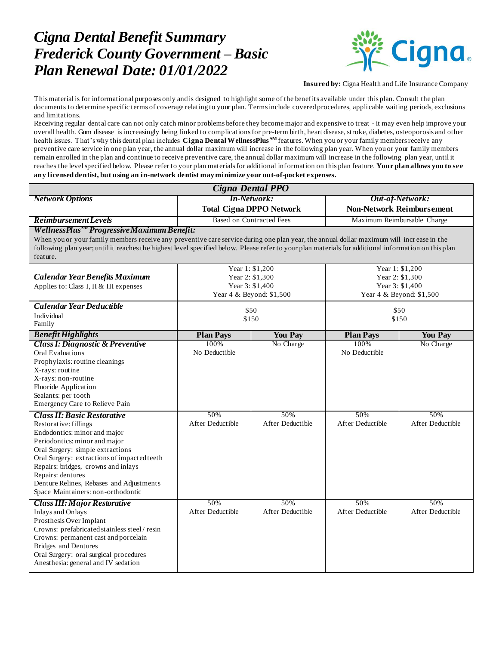## *Cigna Dental Benefit Summary Frederick County Government – Basic Plan Renewal Date: 01/01/2022*



**Insured by:** Cigna Health and Life Insurance Company

This material is for informational purposes only and is designed to highlight some of the benefits available under this plan. Consult the plan documents to determine specific terms of coverage relating to your plan. Terms include covered procedures, applicable waiting periods, exclusions and limitations.

Receiving regular dental care can not only catch minor problems before they become major and expensive to treat - it may even help improve your overall health. Gum disease is increasingly being linked to complications for pre-term birth, heart disease, stroke, diabetes, osteoporosis and other health issues. That's why this dental plan includes **Cigna Dental WellnessPlusSM** features. When you or your family members receive any preventive care service in one plan year, the annual dollar maximum will increase in the following plan year. When you or your family members remain enrolled in the plan and continue to receive preventive care, the annual dollar maximum will increase in the following plan year, until it reaches the level specified below. Please refer to your plan materials for additional information on this plan feature. **Your plan allows you to see any licensed dentist, but using an in-network dentist may minimize your out-of-pocket expenses.**

| <b>Cigna Dental PPO</b>                                                                                                                                                                                                                                                                                      |                                                                                   |                                      |                                                                                   |                                      |
|--------------------------------------------------------------------------------------------------------------------------------------------------------------------------------------------------------------------------------------------------------------------------------------------------------------|-----------------------------------------------------------------------------------|--------------------------------------|-----------------------------------------------------------------------------------|--------------------------------------|
| <b>Network Options</b>                                                                                                                                                                                                                                                                                       | <b>In-Network:</b><br><b>Total Cigna DPPO Network</b>                             |                                      | Out-of-Network:<br><b>Non-Network Reimbursement</b>                               |                                      |
| <b>Reimbursement</b> Levels                                                                                                                                                                                                                                                                                  | <b>Based on Contracted Fees</b>                                                   |                                      | Maximum Reimbursable Charge                                                       |                                      |
| WellnessPlus <sup>5M</sup> Progressive Maximum Benefit:                                                                                                                                                                                                                                                      |                                                                                   |                                      |                                                                                   |                                      |
| When you or your family members receive any preventive care service during one plan year, the annual dollar maximum will increase in the<br>following plan year; until it reaches the highest level specified below. Please refer to your plan materials for additional information on this plan<br>feature. |                                                                                   |                                      |                                                                                   |                                      |
| <b>Calendar Year Benefits Maximum</b><br>Applies to: Class I, II & III expenses                                                                                                                                                                                                                              | Year 1: \$1,200<br>Year 2: \$1,300<br>Year 3: \$1,400<br>Year 4 & Beyond: \$1,500 |                                      | Year 1: \$1,200<br>Year 2: \$1,300<br>Year 3: \$1,400<br>Year 4 & Beyond: \$1,500 |                                      |
| Calendar Year Deductible                                                                                                                                                                                                                                                                                     |                                                                                   |                                      |                                                                                   |                                      |
| Individual<br>Family                                                                                                                                                                                                                                                                                         | \$50<br>\$150                                                                     |                                      | \$50<br>\$150                                                                     |                                      |
| <b>Benefit Highlights</b>                                                                                                                                                                                                                                                                                    | <b>Plan Pays</b>                                                                  | <b>You Pay</b>                       | <b>Plan Pays</b>                                                                  | <b>You Pay</b>                       |
| <b>Class I: Diagnostic &amp; Preventive</b><br>Oral Evaluations<br>Prophylaxis: routine cleanings<br>X-rays: routine<br>X-rays: non-routine<br>Fluoride Application<br>Sealants: per tooth<br>Emergency Care to Relieve Pain<br><b>Class II: Basic Restorative</b><br>Restorative: fillings                  | 100%<br>No Deductible<br>50%<br>After Deductible                                  | No Charge<br>50%<br>After Deductible | 100%<br>No Deductible<br>50%<br>After Deductible                                  | No Charge<br>50%<br>After Deductible |
| Endodontics: minor and major<br>Periodontics: minor and major<br>Oral Surgery: simple extractions<br>Oral Surgery: extractions of impacted teeth<br>Repairs: bridges, crowns and inlays<br>Repairs: dentures<br>Denture Relines, Rebases and Adjustments<br>Space Maintainers: non-orthodontic               |                                                                                   |                                      |                                                                                   |                                      |
| <b>Class III: Major Restorative</b><br><b>Inlays and Onlays</b><br>Prosthesis Over Implant<br>Crowns: prefabricated stainless steel / resin<br>Crowns: permanent cast and porcelain<br><b>Bridges</b> and Dentures<br>Oral Surgery: oral surgical procedures<br>Anesthesia: general and IV sedation          | 50%<br>After Deductible                                                           | 50%<br>After Deductible              | 50%<br>After Deductible                                                           | 50%<br>After Deductible              |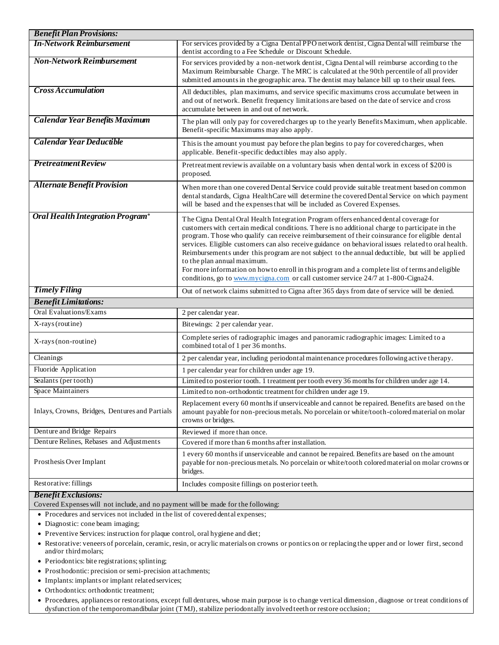| <b>Benefit Plan Provisions:</b>                |                                                                                                                                                                                                                                                                                                                                                                                                                                                                                                                                                                                                                                                                                                                          |  |  |
|------------------------------------------------|--------------------------------------------------------------------------------------------------------------------------------------------------------------------------------------------------------------------------------------------------------------------------------------------------------------------------------------------------------------------------------------------------------------------------------------------------------------------------------------------------------------------------------------------------------------------------------------------------------------------------------------------------------------------------------------------------------------------------|--|--|
| <b>In-Network Reimbursement</b>                | For services provided by a Cigna Dental PPO network dentist, Cigna Dental will reimburse the<br>dentist according to a Fee Schedule or Discount Schedule.                                                                                                                                                                                                                                                                                                                                                                                                                                                                                                                                                                |  |  |
| <b>Non-Network Reimbursement</b>               | For services provided by a non-network dentist, Cigna Dental will reimburse according to the<br>Maximum Reimbursable Charge. The MRC is calculated at the 90th percentile of all provider<br>submitted amounts in the geographic area. The dentist may balance bill up to their usual fees.                                                                                                                                                                                                                                                                                                                                                                                                                              |  |  |
| <b>Cross Accumulation</b>                      | All deductibles, plan maximums, and service specific maximums cross accumulate between in<br>and out of network. Benefit frequency limitations are based on the date of service and cross<br>accumulate between in and out of network.                                                                                                                                                                                                                                                                                                                                                                                                                                                                                   |  |  |
| <b>Calendar Year Benefits Maximum</b>          | The plan will only pay for covered charges up to the yearly Benefits Maximum, when applicable.<br>Benefit-specific Maximums may also apply.                                                                                                                                                                                                                                                                                                                                                                                                                                                                                                                                                                              |  |  |
| <b>Calendar Year Deductible</b>                | This is the amount you must pay before the plan begins to pay for covered charges, when<br>applicable. Benefit-specific deductibles may also apply.                                                                                                                                                                                                                                                                                                                                                                                                                                                                                                                                                                      |  |  |
| <b>Pretreatment Review</b>                     | Pretreatment reviewis available on a voluntary basis when dental work in excess of \$200 is<br>proposed.                                                                                                                                                                                                                                                                                                                                                                                                                                                                                                                                                                                                                 |  |  |
| <b>Alternate Benefit Provision</b>             | When more than one covered Dental Service could provide suitable treatment based on common<br>dental standards, Cigna HealthCare will determine the covered Dental Service on which payment<br>will be based and the expenses that will be included as Covered Expenses.                                                                                                                                                                                                                                                                                                                                                                                                                                                 |  |  |
| Oral Health Integration Program®               | The Cigna Dental Oral Health Integration Program offers enhanced dental coverage for<br>customers with certain medical conditions. There is no additional charge to participate in the<br>program. Those who qualify can receive reimbursement of their coinsurance for eligible dental<br>services. Eligible customers can also receive guidance on behavioral issues related to oral health.<br>Reimbursements under this program are not subject to the annual deductible, but will be applied<br>to the plan annual maximum.<br>For more information on how to enroll in this program and a complete list of terms and eligible<br>conditions, go to www.mycigna.com or call customer service 24/7 at 1-800-Cigna24. |  |  |
| <b>Timely Filing</b>                           | Out of network claims submitted to Cigna after 365 days from date of service will be denied.                                                                                                                                                                                                                                                                                                                                                                                                                                                                                                                                                                                                                             |  |  |
| <b>Benefit Limitations:</b>                    |                                                                                                                                                                                                                                                                                                                                                                                                                                                                                                                                                                                                                                                                                                                          |  |  |
| <b>Oral Evaluations/Exams</b>                  | 2 per calendar year.                                                                                                                                                                                                                                                                                                                                                                                                                                                                                                                                                                                                                                                                                                     |  |  |
| X-rays (routine)                               | Bitewings: 2 per calendar year.                                                                                                                                                                                                                                                                                                                                                                                                                                                                                                                                                                                                                                                                                          |  |  |
| X-rays (non-routine)                           | Complete series of radiographic images and panoramic radiographic images: Limited to a<br>combined total of 1 per 36 months.                                                                                                                                                                                                                                                                                                                                                                                                                                                                                                                                                                                             |  |  |
| Cleanings                                      | 2 per calendar year, including periodontal maintenance procedures following active therapy.                                                                                                                                                                                                                                                                                                                                                                                                                                                                                                                                                                                                                              |  |  |
| Fluoride Application                           | 1 per calendar year for children under age 19.                                                                                                                                                                                                                                                                                                                                                                                                                                                                                                                                                                                                                                                                           |  |  |
| Sealants (per tooth)                           | Limited to posterior tooth. 1 treatment per tooth every 36 months for children under age 14.                                                                                                                                                                                                                                                                                                                                                                                                                                                                                                                                                                                                                             |  |  |
| Space Maintainers                              | Limited to non-orthodontic treatment for children under age 19.                                                                                                                                                                                                                                                                                                                                                                                                                                                                                                                                                                                                                                                          |  |  |
| Inlays, Crowns, Bridges, Dentures and Partials | Replacement every 60 months if unserviceable and cannot be repaired. Benefits are based on the<br>amount payable for non-precious metals. No porcelain or white/tooth-colored material on molar<br>crowns or bridges.                                                                                                                                                                                                                                                                                                                                                                                                                                                                                                    |  |  |
| Denture and Bridge Repairs                     | Reviewed if more than once.                                                                                                                                                                                                                                                                                                                                                                                                                                                                                                                                                                                                                                                                                              |  |  |
| Denture Relines, Rebases and Adjustments       | Covered if more than 6 months after installation.                                                                                                                                                                                                                                                                                                                                                                                                                                                                                                                                                                                                                                                                        |  |  |
| Prosthesis Over Implant                        | 1 every 60 months if unserviceable and cannot be repaired. Benefits are based on the amount<br>payable for non-precious metals. No porcelain or white/tooth colored material on molar crowns or<br>bridges.                                                                                                                                                                                                                                                                                                                                                                                                                                                                                                              |  |  |
| Restorative: fillings                          | Includes composite fillings on posterior teeth.                                                                                                                                                                                                                                                                                                                                                                                                                                                                                                                                                                                                                                                                          |  |  |
| <b>Benefit Exclusions:</b>                     |                                                                                                                                                                                                                                                                                                                                                                                                                                                                                                                                                                                                                                                                                                                          |  |  |

Covered Expenses will not include, and no payment will be made for the following:

- Procedures and services not included in the list of covered dental expenses;
- Diagnostic: cone beam imaging;
- Preventive Services: instruction for plaque control, oral hygiene and diet;
- Restorative: veneers of porcelain, ceramic, resin, or acrylic materials on crowns or pontics on or replacing the upper and or lower first, second and/or third molars;
- Periodontics: bite registrations; splinting;
- Prosthodontic: precision or semi-precision attachments;
- Implants: implants or implant related services;
- Orthodontics: orthodontic treatment;
- Procedures, appliances or restorations, except full dentures, whose main purpose is to change vertical dimension , diagnose or treat conditions of dysfunction of the temporomandibular joint (TMJ), stabilize periodontally involved teeth or restore occlusion;